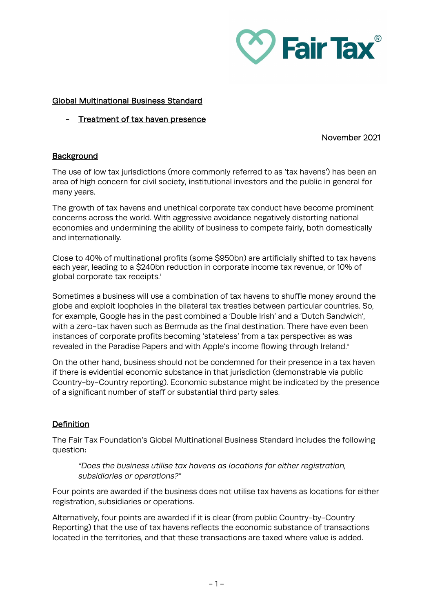

## Global Multinational Business Standard

Treatment of tax haven presence

### November 2021

# **Background**

The use of low tax jurisdictions (more commonly referred to as 'tax havens') has been an area of high concern for civil society, institutional investors and the public in general for many years.

The growth of tax havens and unethical corporate tax conduct have become prominent concerns across the world. With aggressive avoidance negatively distorting national economies and undermining the ability of business to compete fairly, both domestically and internationally.

Close to 40% of multinational profits (some \$950bn) are artificially shifted to tax havens each year, leading to a \$240bn reduction in corporate income tax revenue, or 10% of global corporate tax rece[i](#page-1-0)pts.<sup>i</sup>

Sometimes a business will use a combination of tax havens to shuffle money around the globe and exploit loopholes in the bilateral tax treaties between particular countries. So, for example, Google has in the past combined a 'Double Irish' and a 'Dutch Sandwich', with a zero-tax haven such as Bermuda as the final destination. There have even been instances of corporate profits becoming 'stateless' from a tax perspective: as was revealed in the Paradise Papers and with Apple's income flowing through Ireland.<sup>[ii](#page-1-1)</sup>

On the other hand, business should not be condemned for their presence in a tax haven if there is evidential economic substance in that jurisdiction (demonstrable via public Country-by-Country reporting). Economic substance might be indicated by the presence of a significant number of staff or substantial third party sales.

# **Definition**

The Fair Tax Foundation's Global Multinational Business Standard includes the following question:

*"Does the business utilise tax havens as locations for either registration, subsidiaries or operations?"*

Four points are awarded if the business does not utilise tax havens as locations for either registration, subsidiaries or operations.

Alternatively, four points are awarded if it is clear (from public Country-by-Country Reporting) that the use of tax havens reflects the economic substance of transactions located in the territories, and that these transactions are taxed where value is added.